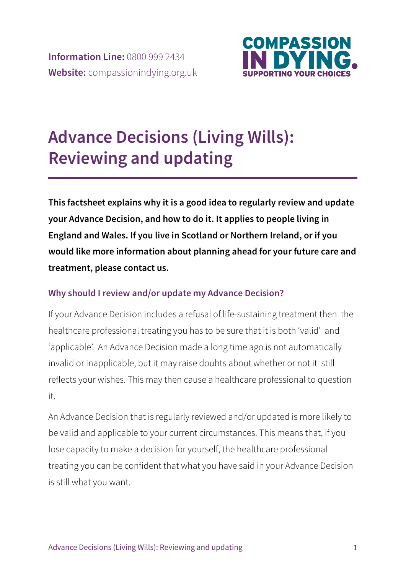

# **Advance Decisions (Living Wills): Reviewing and updating**

**This factsheet explains why it is a good idea to regularly review and update your Advance Decision, and how to do it. It applies to people living in England and Wales. If you live in Scotland or Northern Ireland, or if you would like more information about planning ahead for your future care and treatment, please contact us.** 

## **Why should I review and/or update my Advance Decision?**

If your Advance Decision includes a refusal of life-sustaining treatment then the healthcare professional treating you has to be sure that it is both 'valid' and 'applicable'. An Advance Decision made a long time ago is not automatically invalid or inapplicable, but it may raise doubts about whether or not it still reflects your wishes. This may then cause a healthcare professional to question it.

An Advance Decision that is regularly reviewed and/or updated is more likely to be valid and applicable to your current circumstances. This means that, if you lose capacity to make a decision for yourself, the healthcare professional treating you can be confident that what you have said in your Advance Decision is still what you want.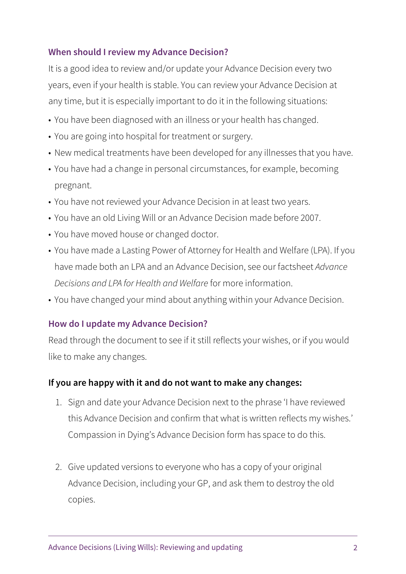#### **When should I review my Advance Decision?**

It is a good idea to review and/or update your Advance Decision every two years, even if your health is stable. You can review your Advance Decision at any time, but it is especially important to do it in the following situations:

- You have been diagnosed with an illness or your health has changed.
- You are going into hospital for treatment or surgery.
- New medical treatments have been developed for any illnesses that you have.
- You have had a change in personal circumstances, for example, becoming pregnant.
- You have not reviewed your Advance Decision in at least two years.
- You have an old Living Will or an Advance Decision made before 2007.
- You have moved house or changed doctor.
- You have made a Lasting Power of Attorney for Health and Welfare (LPA). If you have made both an LPA and an Advance Decision, see our factsheet Advance Decisions and LPA for Health and Welfare for more information.
- You have changed your mind about anything within your Advance Decision.

#### **How do I update my Advance Decision?**

Read through the document to see if it still reflects your wishes, or if you would like to make any changes.

#### **If you are happy with it and do not want to make any changes:**

- 1. Sign and date your Advance Decision next to the phrase 'I have reviewed this Advance Decision and confirm that what is written reflects my wishes.' Compassion in Dying's Advance Decision form has space to do this.
- 2. Give updated versions to everyone who has a copy of your original Advance Decision, including your GP, and ask them to destroy the old copies.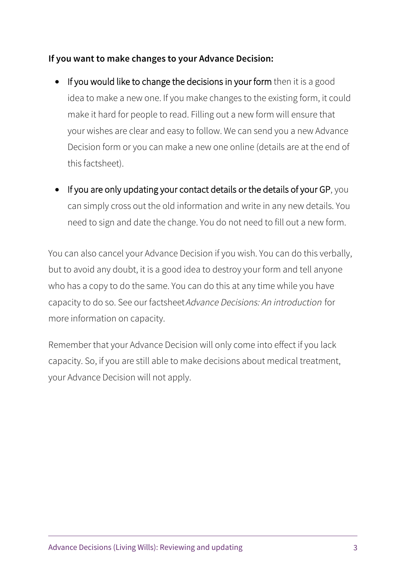### **If you want to make changes to your Advance Decision:**

- If you would like to change the decisions in your form then it is a good idea to make a new one. If you make changes to the existing form, it could make it hard for people to read. Filling out a new form will ensure that your wishes are clear and easy to follow. We can send you a new Advance Decision form or you can make a new one online (details are at the end of this factsheet).
- If you are only updating your contact details or the details of your GP, you can simply cross out the old information and write in any new details. You need to sign and date the change. You do not need to fill out a new form.

You can also cancel your Advance Decision if you wish. You can do this verbally, but to avoid any doubt, it is a good idea to destroy your form and tell anyone who has a copy to do the same. You can do this at any time while you have capacity to do so. See our factsheet Advance Decisions: An introduction for more information on capacity.

Remember that your Advance Decision will only come into effect if you lack capacity. So, if you are still able to make decisions about medical treatment, your Advance Decision will not apply.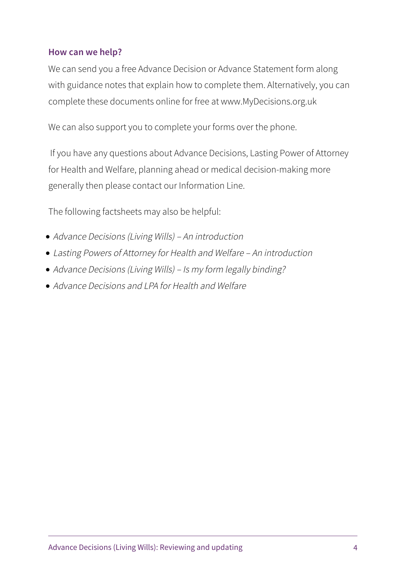#### **How can we help?**

We can send you a free Advance Decision or Advance Statement form along with guidance notes that explain how to complete them. Alternatively, you can complete these documents online for free at www.MyDecisions.org.uk

We can also support you to complete your forms over the phone.

 If you have any questions about Advance Decisions, Lasting Power of Attorney for Health and Welfare, planning ahead or medical decision-making more generally then please contact our Information Line.

The following factsheets may also be helpful:

- Advance Decisions (Living Wills) An introduction
- Lasting Powers of Attorney for Health and Welfare An introduction
- Advance Decisions (Living Wills) Is my form legally binding?
- Advance Decisions and LPA for Health and Welfare